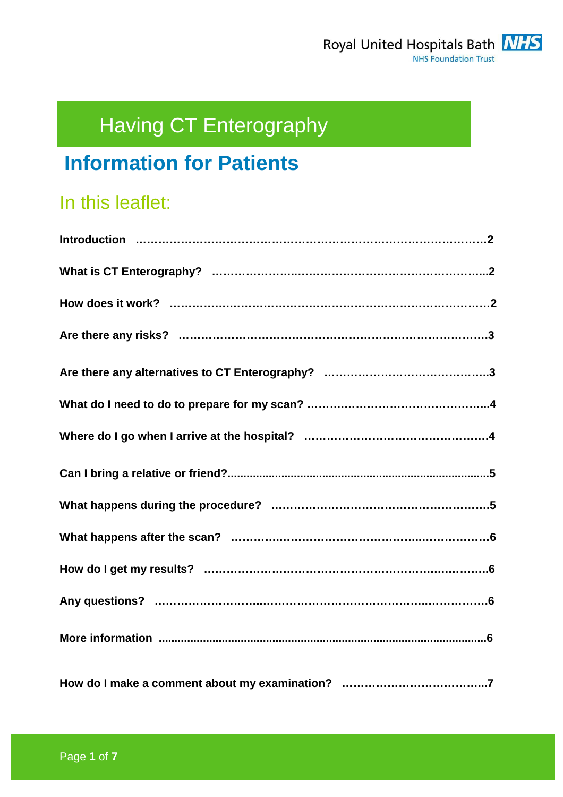# Having CT Enterography

## **Information for Patients**

## In this leaflet: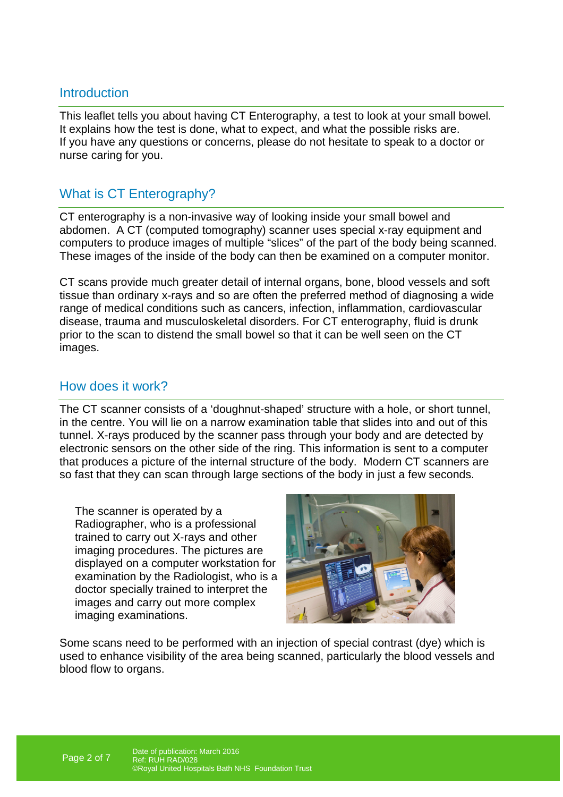## **Introduction**

This leaflet tells you about having CT Enterography, a test to look at your small bowel. It explains how the test is done, what to expect, and what the possible risks are. If you have any questions or concerns, please do not hesitate to speak to a doctor or nurse caring for you.

## What is CT Enterography?

CT enterography is a non-invasive way of looking inside your small bowel and abdomen. A CT (computed tomography) scanner uses special x-ray equipment and computers to produce images of multiple "slices" of the part of the body being scanned. These images of the inside of the body can then be examined on a computer monitor.

CT scans provide much greater detail of internal organs, bone, blood vessels and soft tissue than ordinary x-rays and so are often the preferred method of diagnosing a wide range of medical conditions such as cancers, infection, inflammation, cardiovascular disease, trauma and musculoskeletal disorders. For CT enterography, fluid is drunk prior to the scan to distend the small bowel so that it can be well seen on the CT images.

## How does it work?

The CT scanner consists of a 'doughnut-shaped' structure with a hole, or short tunnel, in the centre. You will lie on a narrow examination table that slides into and out of this tunnel. X-rays produced by the scanner pass through your body and are detected by electronic sensors on the other side of the ring. This information is sent to a computer that produces a picture of the internal structure of the body. Modern CT scanners are so fast that they can scan through large sections of the body in just a few seconds.

The scanner is operated by a Radiographer, who is a professional trained to carry out X-rays and other imaging procedures. The pictures are displayed on a computer workstation for examination by the Radiologist, who is a doctor specially trained to interpret the images and carry out more complex imaging examinations.



Some scans need to be performed with an injection of special contrast (dye) which is used to enhance visibility of the area being scanned, particularly the blood vessels and blood flow to organs.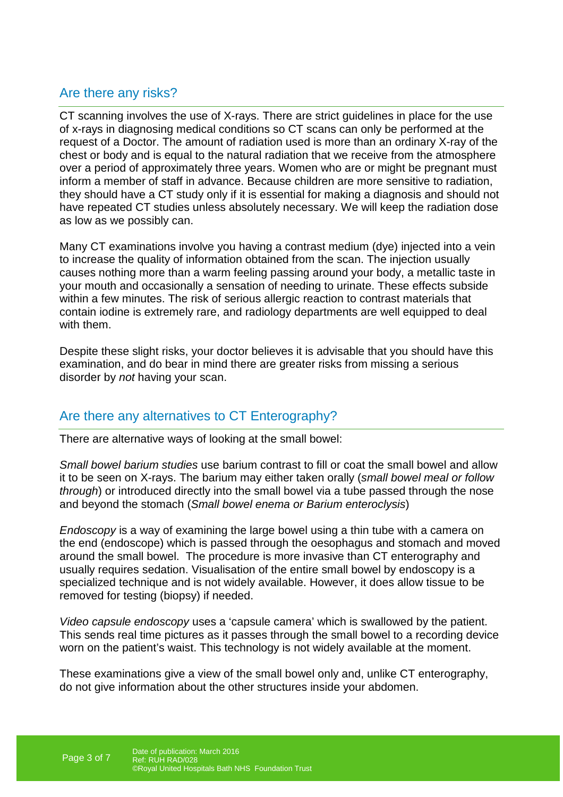## Are there any risks?

CT scanning involves the use of X-rays. There are strict guidelines in place for the use of x-rays in diagnosing medical conditions so CT scans can only be performed at the request of a Doctor. The amount of radiation used is more than an ordinary X-ray of the chest or body and is equal to the natural radiation that we receive from the atmosphere over a period of approximately three years. Women who are or might be pregnant must inform a member of staff in advance. Because children are more sensitive to radiation, they should have a CT study only if it is essential for making a diagnosis and should not have repeated CT studies unless absolutely necessary. We will keep the radiation dose as low as we possibly can.

Many CT examinations involve you having a contrast medium (dye) injected into a vein to increase the quality of information obtained from the scan. The injection usually causes nothing more than a warm feeling passing around your body, a metallic taste in your mouth and occasionally a sensation of needing to urinate. These effects subside within a few minutes. The risk of serious allergic reaction to contrast materials that contain iodine is extremely rare, and radiology departments are well equipped to deal with them.

Despite these slight risks, your doctor believes it is advisable that you should have this examination, and do bear in mind there are greater risks from missing a serious disorder by not having your scan.

## Are there any alternatives to CT Enterography?

There are alternative ways of looking at the small bowel:

Small bowel barium studies use barium contrast to fill or coat the small bowel and allow it to be seen on X-rays. The barium may either taken orally (small bowel meal or follow through) or introduced directly into the small bowel via a tube passed through the nose and beyond the stomach (Small bowel enema or Barium enteroclysis)

Endoscopy is a way of examining the large bowel using a thin tube with a camera on the end (endoscope) which is passed through the oesophagus and stomach and moved around the small bowel. The procedure is more invasive than CT enterography and usually requires sedation. Visualisation of the entire small bowel by endoscopy is a specialized technique and is not widely available. However, it does allow tissue to be removed for testing (biopsy) if needed.

Video capsule endoscopy uses a 'capsule camera' which is swallowed by the patient. This sends real time pictures as it passes through the small bowel to a recording device worn on the patient's waist. This technology is not widely available at the moment.

These examinations give a view of the small bowel only and, unlike CT enterography, do not give information about the other structures inside your abdomen.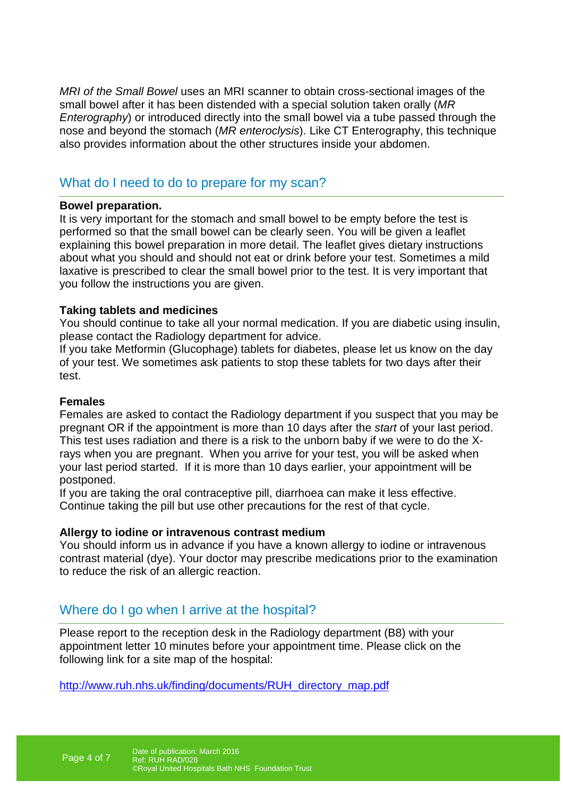MRI of the Small Bowel uses an MRI scanner to obtain cross-sectional images of the small bowel after it has been distended with a special solution taken orally (MR Enterography) or introduced directly into the small bowel via a tube passed through the nose and beyond the stomach (MR enteroclysis). Like CT Enterography, this technique also provides information about the other structures inside your abdomen.

## What do I need to do to prepare for my scan?

#### **Bowel preparation.**

It is very important for the stomach and small bowel to be empty before the test is performed so that the small bowel can be clearly seen. You will be given a leaflet explaining this bowel preparation in more detail. The leaflet gives dietary instructions about what you should and should not eat or drink before your test. Sometimes a mild laxative is prescribed to clear the small bowel prior to the test. It is very important that you follow the instructions you are given.

#### **Taking tablets and medicines**

You should continue to take all your normal medication. If you are diabetic using insulin, please contact the Radiology department for advice.

If you take Metformin (Glucophage) tablets for diabetes, please let us know on the day of your test. We sometimes ask patients to stop these tablets for two days after their test.

#### **Females**

Females are asked to contact the Radiology department if you suspect that you may be pregnant OR if the appointment is more than 10 days after the start of your last period. This test uses radiation and there is a risk to the unborn baby if we were to do the Xrays when you are pregnant. When you arrive for your test, you will be asked when your last period started. If it is more than 10 days earlier, your appointment will be postponed.

If you are taking the oral contraceptive pill, diarrhoea can make it less effective. Continue taking the pill but use other precautions for the rest of that cycle.

#### **Allergy to iodine or intravenous contrast medium**

You should inform us in advance if you have a known allergy to iodine or intravenous contrast material (dye). Your doctor may prescribe medications prior to the examination to reduce the risk of an allergic reaction.

## Where do I go when I arrive at the hospital?

Please report to the reception desk in the Radiology department (B8) with your appointment letter 10 minutes before your appointment time. Please click on the following link for a site map of the hospital:

http://www.ruh.nhs.uk/finding/documents/RUH\_directory\_map.pdf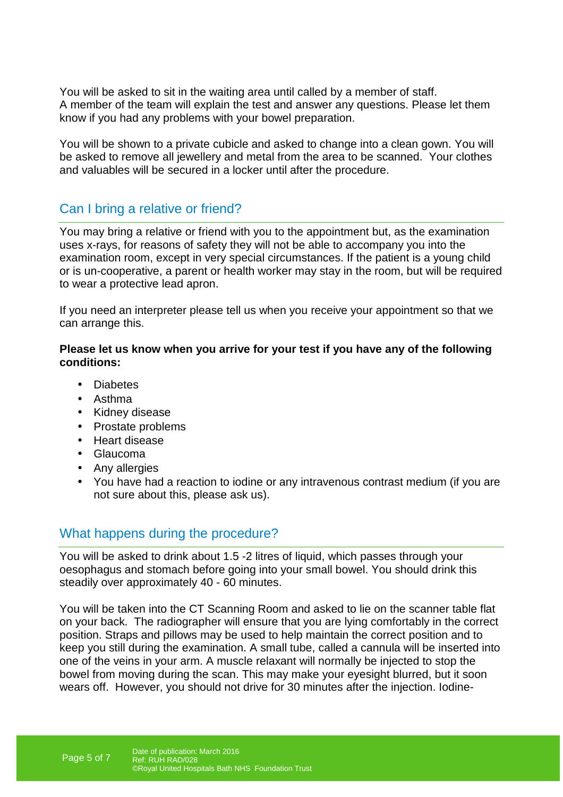You will be asked to sit in the waiting area until called by a member of staff. A member of the team will explain the test and answer any questions. Please let them know if you had any problems with your bowel preparation.

You will be shown to a private cubicle and asked to change into a clean gown. You will be asked to remove all jewellery and metal from the area to be scanned. Your clothes and valuables will be secured in a locker until after the procedure.

## Can I bring a relative or friend?

You may bring a relative or friend with you to the appointment but, as the examination uses x-rays, for reasons of safety they will not be able to accompany you into the examination room, except in very special circumstances. If the patient is a young child or is un-cooperative, a parent or health worker may stay in the room, but will be required to wear a protective lead apron.

If you need an interpreter please tell us when you receive your appointment so that we can arrange this.

#### **Please let us know when you arrive for your test if you have any of the following conditions:**

- Diabetes
- Asthma
- Kidney disease
- Prostate problems
- Heart disease
- Glaucoma
- Any allergies
- You have had a reaction to iodine or any intravenous contrast medium (if you are not sure about this, please ask us).

#### What happens during the procedure?

You will be asked to drink about 1.5 -2 litres of liquid, which passes through your oesophagus and stomach before going into your small bowel. You should drink this steadily over approximately 40 - 60 minutes.

You will be taken into the CT Scanning Room and asked to lie on the scanner table flat on your back. The radiographer will ensure that you are lying comfortably in the correct position. Straps and pillows may be used to help maintain the correct position and to keep you still during the examination. A small tube, called a cannula will be inserted into one of the veins in your arm. A muscle relaxant will normally be injected to stop the bowel from moving during the scan. This may make your eyesight blurred, but it soon wears off. However, you should not drive for 30 minutes after the injection. Iodine-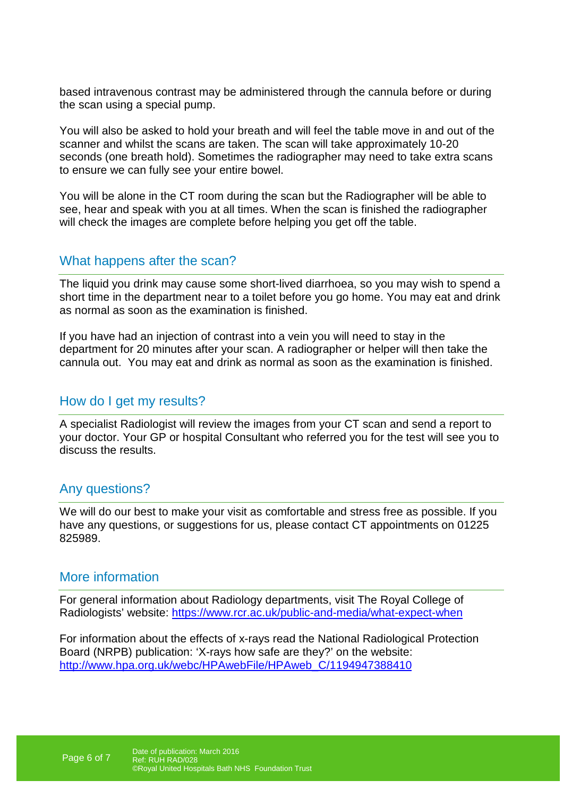based intravenous contrast may be administered through the cannula before or during the scan using a special pump.

You will also be asked to hold your breath and will feel the table move in and out of the scanner and whilst the scans are taken. The scan will take approximately 10-20 seconds (one breath hold). Sometimes the radiographer may need to take extra scans to ensure we can fully see your entire bowel.

You will be alone in the CT room during the scan but the Radiographer will be able to see, hear and speak with you at all times. When the scan is finished the radiographer will check the images are complete before helping you get off the table.

## What happens after the scan?

The liquid you drink may cause some short-lived diarrhoea, so you may wish to spend a short time in the department near to a toilet before you go home. You may eat and drink as normal as soon as the examination is finished.

If you have had an injection of contrast into a vein you will need to stay in the department for 20 minutes after your scan. A radiographer or helper will then take the cannula out. You may eat and drink as normal as soon as the examination is finished.

#### How do I get my results?

A specialist Radiologist will review the images from your CT scan and send a report to your doctor. Your GP or hospital Consultant who referred you for the test will see you to discuss the results.

#### Any questions?

We will do our best to make your visit as comfortable and stress free as possible. If you have any questions, or suggestions for us, please contact CT appointments on 01225 825989.

#### More information

For general information about Radiology departments, visit The Royal College of Radiologists' website: https://www.rcr.ac.uk/public-and-media/what-expect-when

For information about the effects of x-rays read the National Radiological Protection Board (NRPB) publication: 'X-rays how safe are they?' on the website: http://www.hpa.org.uk/webc/HPAwebFile/HPAweb\_C/1194947388410